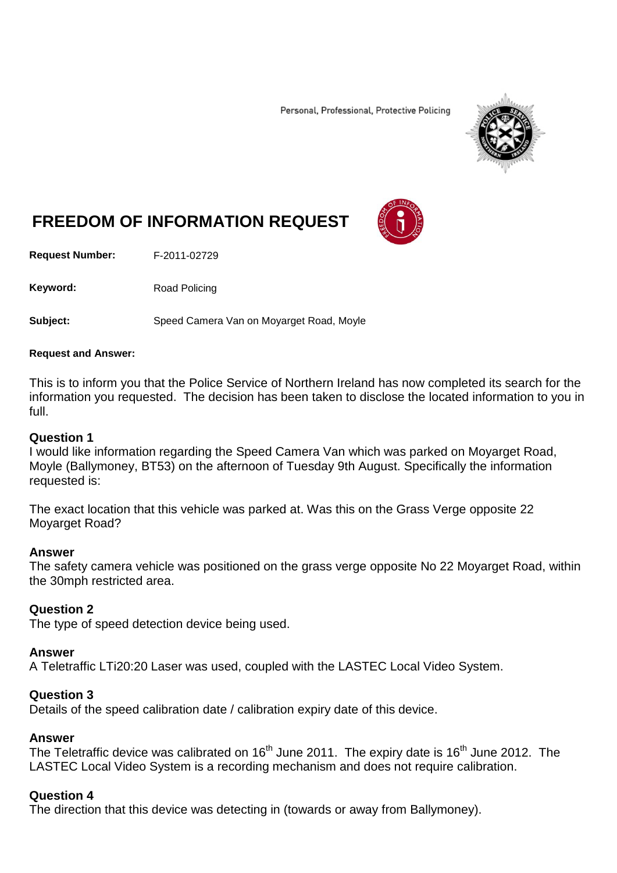Personal, Professional, Protective Policing



# **FREEDOM OF INFORMATION REQUEST**

**Request Number:** F-2011-02729

Keyword: Road Policing

**Subject:** Speed Camera Van on Moyarget Road, Moyle

#### **Request and Answer:**

This is to inform you that the Police Service of Northern Ireland has now completed its search for the information you requested. The decision has been taken to disclose the located information to you in full.

#### **Question 1**

I would like information regarding the Speed Camera Van which was parked on Moyarget Road, Moyle (Ballymoney, BT53) on the afternoon of Tuesday 9th August. Specifically the information requested is:

The exact location that this vehicle was parked at. Was this on the Grass Verge opposite 22 Moyarget Road?

### **Answer**

The safety camera vehicle was positioned on the grass verge opposite No 22 Moyarget Road, within the 30mph restricted area.

### **Question 2**

The type of speed detection device being used.

### **Answer**

A Teletraffic LTi20:20 Laser was used, coupled with the LASTEC Local Video System.

### **Question 3**

Details of the speed calibration date / calibration expiry date of this device.

### **Answer**

The Teletraffic device was calibrated on 16<sup>th</sup> June 2011. The expiry date is 16<sup>th</sup> June 2012. The LASTEC Local Video System is a recording mechanism and does not require calibration.

## **Question 4**

The direction that this device was detecting in (towards or away from Ballymoney).